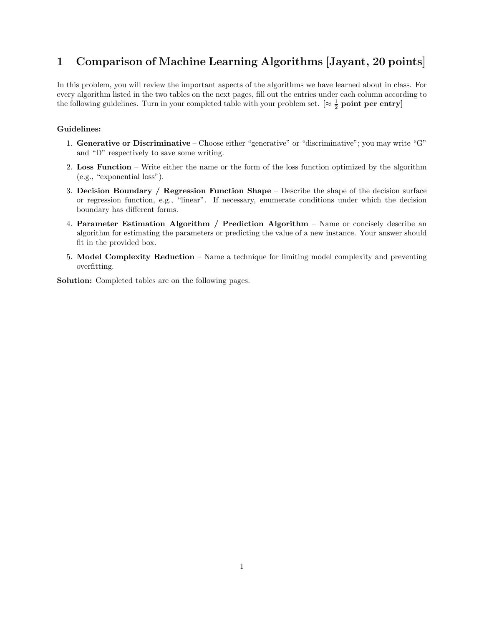## 1 Comparison of Machine Learning Algorithms [Jayant, 20 points]

In this problem, you will review the important aspects of the algorithms we have learned about in class. For every algorithm listed in the two tables on the next pages, fill out the entries under each column according to the following guidelines. Turn in your completed table with your problem set.  $\lbrack \approx \frac{1}{2}$  **point per entry** 

## Guidelines:

- 1. Generative or Discriminative Choose either "generative" or "discriminative"; you may write "G" and "D" respectively to save some writing.
- 2. Loss Function Write either the name or the form of the loss function optimized by the algorithm (e.g., "exponential loss").
- 3. Decision Boundary / Regression Function Shape Describe the shape of the decision surface or regression function, e.g., "linear". If necessary, enumerate conditions under which the decision boundary has different forms.
- 4. Parameter Estimation Algorithm / Prediction Algorithm Name or concisely describe an algorithm for estimating the parameters or predicting the value of a new instance. Your answer should fit in the provided box.
- 5. Model Complexity Reduction Name a technique for limiting model complexity and preventing overfitting.

Solution: Completed tables are on the following pages.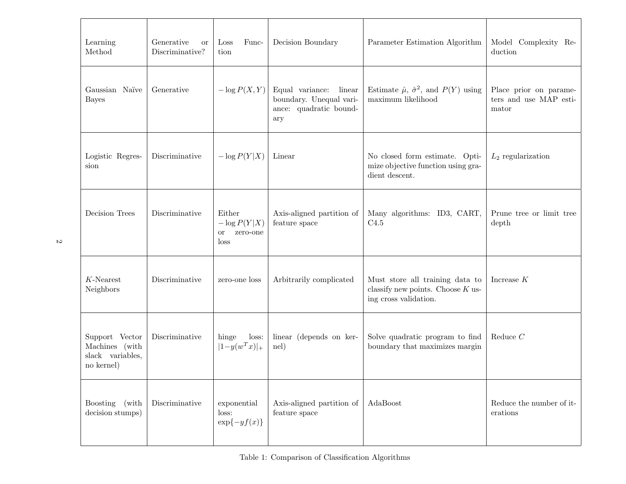| Learning<br>Method                                                 | Generative<br><b>or</b><br>Discriminative? | Func-<br>Loss<br>tion                           | Decision Boundary                                                                     | Parameter Estimation Algorithm                                                                  | Model Complexity Re-<br>duction                           |
|--------------------------------------------------------------------|--------------------------------------------|-------------------------------------------------|---------------------------------------------------------------------------------------|-------------------------------------------------------------------------------------------------|-----------------------------------------------------------|
| Gaussian Naïve<br><b>Bayes</b>                                     | Generative                                 | $-\log P(X, Y)$                                 | Equal variance:<br>linear<br>boundary. Unequal vari-<br>ance: quadratic bound-<br>ary | Estimate $\hat{\mu}$ , $\hat{\sigma}^2$ , and $P(Y)$ using<br>maximum likelihood                | Place prior on parame-<br>ters and use MAP esti-<br>mator |
| Logistic Regres-<br>sion                                           | Discriminative                             | $-\log P(Y X)$                                  | Linear                                                                                | No closed form estimate. Opti-<br>mize objective function using gra-<br>dient descent.          | $L_2$ regularization                                      |
| Decision Trees                                                     | Discriminative                             | Either<br>$-\log P(Y X)$<br>or zero-one<br>loss | Axis-aligned partition of<br>feature space                                            | Many algorithms: ID3, CART,<br>C4.5                                                             | Prune tree or limit tree<br>depth                         |
| $K$ -Nearest<br>Neighbors                                          | Discriminative                             | zero-one loss                                   | Arbitrarily complicated                                                               | Must store all training data to<br>classify new points. Choose $K$ us-<br>ing cross validation. | Increase $K$                                              |
| Support Vector<br>Machines (with<br>slack variables,<br>no kernel) | Discriminative                             | hinge<br>loss:<br>$ 1-y(w^Tx) _+$               | linear (depends on ker-<br>nel)                                                       | Solve quadratic program to find<br>boundary that maximizes margin                               | Reduce $C$                                                |
| Boosting<br>(with<br>decision stumps)                              | Discriminative                             | exponential<br>loss:<br>$\exp\{-yf(x)\}\$       | Axis-aligned partition of<br>feature space                                            | AdaBoost                                                                                        | Reduce the number of it-<br>erations                      |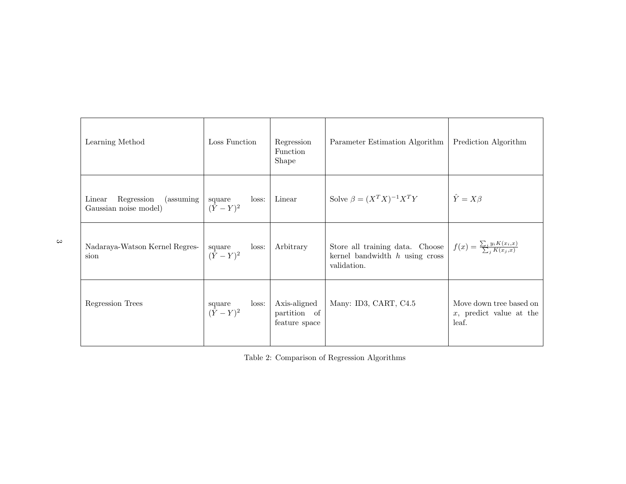| Learning Method                                            | Loss Function                         | Regression<br>Function<br>Shape               | Parameter Estimation Algorithm                                                     | Prediction Algorithm                                           |
|------------------------------------------------------------|---------------------------------------|-----------------------------------------------|------------------------------------------------------------------------------------|----------------------------------------------------------------|
| Linear<br>Regression<br>(assuming<br>Gaussian noise model) | loss:<br>square<br>$({\tilde Y}-Y)^2$ | Linear                                        | Solve $\beta = (X^T X)^{-1} X^T Y$                                                 | $\hat{Y} = X\beta$                                             |
| Nadaraya-Watson Kernel Regres-<br>sion                     | loss:<br>square<br>$(\hat{Y} - Y)^2$  | Arbitrary                                     | Store all training data. Choose<br>kernel bandwidth $h$ using cross<br>validation. | $f(x) = \frac{\sum_i y_i K(x_i,x)}{\sum_i K(x_i,x)}$           |
| Regression Trees                                           | loss:<br>square<br>$(\hat{Y} - Y)^2$  | Axis-aligned<br>partition of<br>feature space | Many: ID3, CART, C4.5                                                              | Move down tree based on<br>$x$ , predict value at the<br>leaf. |

Table 2: Comparison of Regression Algorithms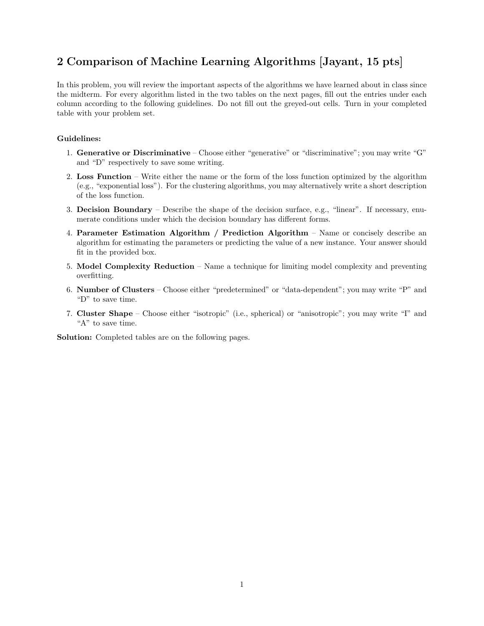## 2 Comparison of Machine Learning Algorithms [Jayant, 15 pts]

In this problem, you will review the important aspects of the algorithms we have learned about in class since the midterm. For every algorithm listed in the two tables on the next pages, fill out the entries under each column according to the following guidelines. Do not fill out the greyed-out cells. Turn in your completed table with your problem set.

## Guidelines:

- 1. Generative or Discriminative Choose either "generative" or "discriminative"; you may write "G" and "D" respectively to save some writing.
- 2. Loss Function Write either the name or the form of the loss function optimized by the algorithm (e.g., "exponential loss"). For the clustering algorithms, you may alternatively write a short description of the loss function.
- 3. Decision Boundary Describe the shape of the decision surface, e.g., "linear". If necessary, enumerate conditions under which the decision boundary has different forms.
- 4. Parameter Estimation Algorithm / Prediction Algorithm Name or concisely describe an algorithm for estimating the parameters or predicting the value of a new instance. Your answer should fit in the provided box.
- 5. Model Complexity Reduction Name a technique for limiting model complexity and preventing overfitting.
- 6. Number of Clusters Choose either "predetermined" or "data-dependent"; you may write "P" and "D" to save time.
- 7. Cluster Shape Choose either "isotropic" (i.e., spherical) or "anisotropic"; you may write "I" and "A" to save time.

Solution: Completed tables are on the following pages.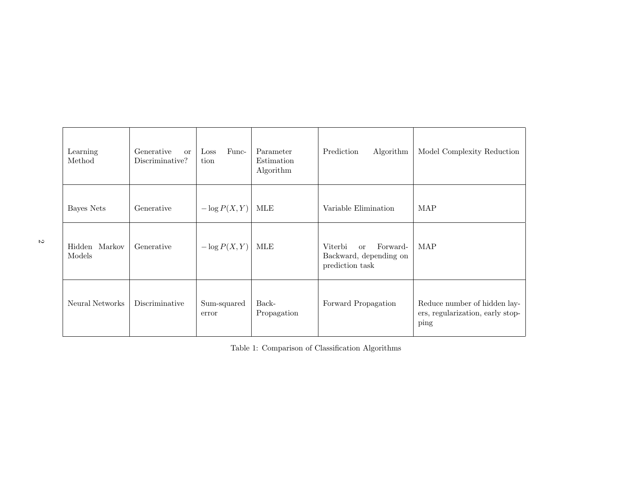| Learning<br>Method      | Generative<br><b>or</b><br>Discriminative? | Func-<br>Loss<br>tion | Parameter<br>Estimation<br>Algorithm | Prediction<br>Algorithm                                                           | Model Complexity Reduction                                               |
|-------------------------|--------------------------------------------|-----------------------|--------------------------------------|-----------------------------------------------------------------------------------|--------------------------------------------------------------------------|
| Bayes Nets              | Generative                                 | $-\log P(X, Y)$       | MLE                                  | Variable Elimination                                                              | MAP                                                                      |
| Hidden Markov<br>Models | Generative                                 | $-\log P(X, Y)$       | MLE                                  | Forward-<br>Viterbi<br><sub>or</sub><br>Backward, depending on<br>prediction task | MAP                                                                      |
| Neural Networks         | Discriminative                             | Sum-squared<br>error  | Back-<br>Propagation                 | Forward Propagation                                                               | Reduce number of hidden lay-<br>ers, regularization, early stop-<br>ping |

Table 1: Comparison of Classification Algorithms